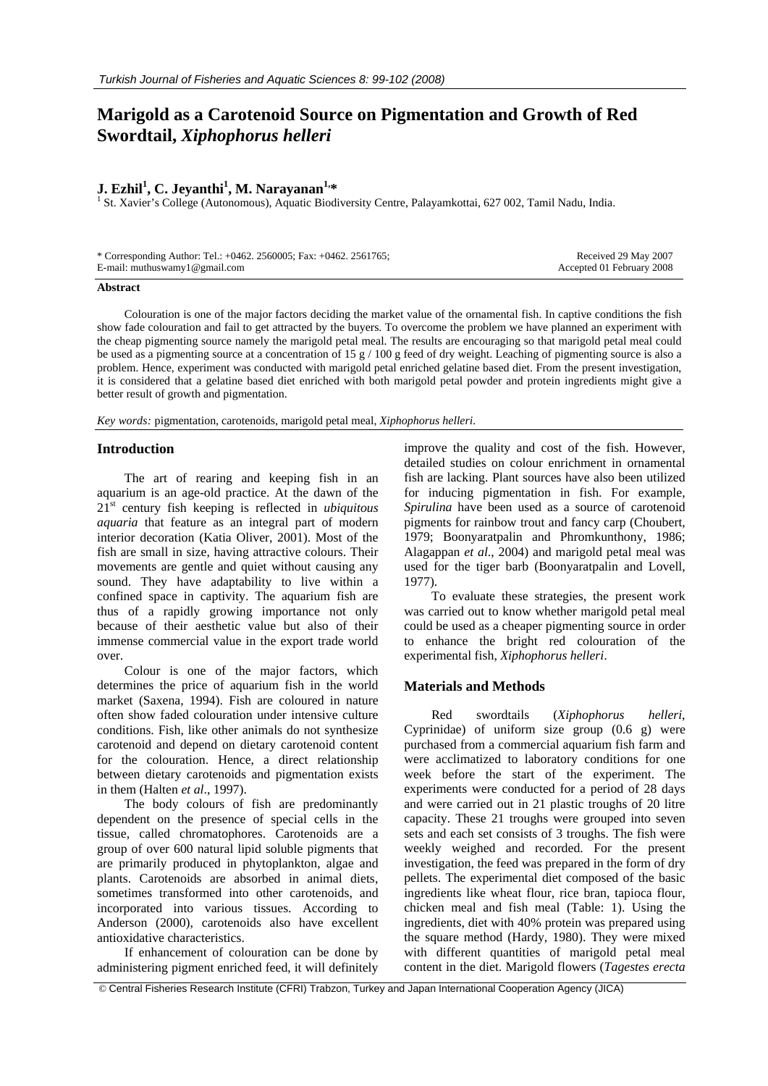## **Marigold as a Carotenoid Source on Pigmentation and Growth of Red Swordtail,** *Xiphophorus helleri*

# **J. Ezhil<sup>1</sup> , C. Jeyanthi<sup>1</sup> , M. Narayanan1,\*** <sup>1</sup>

<sup>1</sup> St. Xavier's College (Autonomous), Aquatic Biodiversity Centre, Palayamkottai, 627 002, Tamil Nadu, India.

| * Corresponding Author: Tel.: $+0462$ . 2560005; Fax: $+0462$ . 2561765; | Received 29 May 2007      |
|--------------------------------------------------------------------------|---------------------------|
| E-mail: muthuswamy $1@$ gmail.com                                        | Accepted 01 February 2008 |

#### **Abstract**

Colouration is one of the major factors deciding the market value of the ornamental fish. In captive conditions the fish show fade colouration and fail to get attracted by the buyers. To overcome the problem we have planned an experiment with the cheap pigmenting source namely the marigold petal meal. The results are encouraging so that marigold petal meal could be used as a pigmenting source at a concentration of 15 g  $/$  100 g feed of dry weight. Leaching of pigmenting source is also a problem. Hence, experiment was conducted with marigold petal enriched gelatine based diet. From the present investigation, it is considered that a gelatine based diet enriched with both marigold petal powder and protein ingredients might give a better result of growth and pigmentation.

*Key words:* pigmentation, carotenoids, marigold petal meal, *Xiphophorus helleri*.

#### **Introduction**

The art of rearing and keeping fish in an aquarium is an age-old practice. At the dawn of the 21st century fish keeping is reflected in *ubiquitous aquaria* that feature as an integral part of modern interior decoration (Katia Oliver, 2001). Most of the fish are small in size, having attractive colours. Their movements are gentle and quiet without causing any sound. They have adaptability to live within a confined space in captivity. The aquarium fish are thus of a rapidly growing importance not only because of their aesthetic value but also of their immense commercial value in the export trade world over.

Colour is one of the major factors, which determines the price of aquarium fish in the world market (Saxena, 1994). Fish are coloured in nature often show faded colouration under intensive culture conditions. Fish, like other animals do not synthesize carotenoid and depend on dietary carotenoid content for the colouration. Hence, a direct relationship between dietary carotenoids and pigmentation exists in them (Halten *et al*., 1997).

The body colours of fish are predominantly dependent on the presence of special cells in the tissue, called chromatophores. Carotenoids are a group of over 600 natural lipid soluble pigments that are primarily produced in phytoplankton, algae and plants. Carotenoids are absorbed in animal diets, sometimes transformed into other carotenoids, and incorporated into various tissues. According to Anderson (2000), carotenoids also have excellent antioxidative characteristics.

If enhancement of colouration can be done by administering pigment enriched feed, it will definitely improve the quality and cost of the fish. However, detailed studies on colour enrichment in ornamental fish are lacking. Plant sources have also been utilized for inducing pigmentation in fish. For example, *Spirulina* have been used as a source of carotenoid pigments for rainbow trout and fancy carp (Choubert, 1979; Boonyaratpalin and Phromkunthony, 1986; Alagappan *et al*., 2004) and marigold petal meal was used for the tiger barb (Boonyaratpalin and Lovell, 1977).

To evaluate these strategies, the present work was carried out to know whether marigold petal meal could be used as a cheaper pigmenting source in order to enhance the bright red colouration of the experimental fish, *Xiphophorus helleri*.

#### **Materials and Methods**

Red swordtails (*Xiphophorus helleri*, Cyprinidae) of uniform size group (0.6 g) were purchased from a commercial aquarium fish farm and were acclimatized to laboratory conditions for one week before the start of the experiment. The experiments were conducted for a period of 28 days and were carried out in 21 plastic troughs of 20 litre capacity. These 21 troughs were grouped into seven sets and each set consists of 3 troughs. The fish were weekly weighed and recorded. For the present investigation, the feed was prepared in the form of dry pellets. The experimental diet composed of the basic ingredients like wheat flour, rice bran, tapioca flour, chicken meal and fish meal (Table: 1). Using the ingredients, diet with 40% protein was prepared using the square method (Hardy, 1980). They were mixed with different quantities of marigold petal meal content in the diet. Marigold flowers (*Tagestes erecta*

© Central Fisheries Research Institute (CFRI) Trabzon, Turkey and Japan International Cooperation Agency (JICA)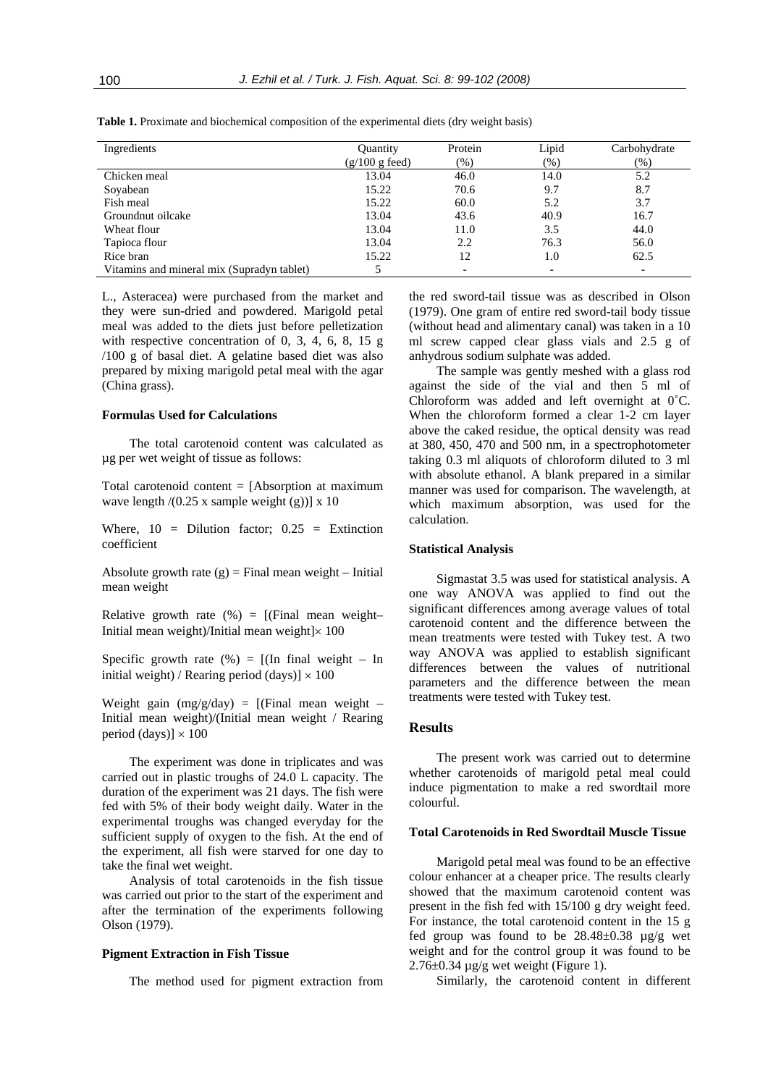| Ingredients                                | <b>Ouantity</b><br>$(g/100 g$ feed) | Protein<br>$(\%)$        | Lipid<br>$(\%)$          | Carbohydrate<br>$(\% )$ |
|--------------------------------------------|-------------------------------------|--------------------------|--------------------------|-------------------------|
| Chicken meal                               | 13.04                               | 46.0                     | 14.0                     | 5.2                     |
| Soyabean                                   | 15.22                               | 70.6                     | 9.7                      | 8.7                     |
| Fish meal                                  | 15.22                               | 60.0                     | 5.2                      | 3.7                     |
| Groundnut oilcake                          | 13.04                               | 43.6                     | 40.9                     | 16.7                    |
| Wheat flour                                | 13.04                               | 11.0                     | 3.5                      | 44.0                    |
| Tapioca flour                              | 13.04                               | 2.2                      | 76.3                     | 56.0                    |
| Rice bran                                  | 15.22                               | 12                       | 1.0                      | 62.5                    |
| Vitamins and mineral mix (Supradyn tablet) |                                     | $\overline{\phantom{0}}$ | $\overline{\phantom{0}}$ |                         |

**Table 1.** Proximate and biochemical composition of the experimental diets (dry weight basis)

L., Asteracea) were purchased from the market and they were sun-dried and powdered. Marigold petal meal was added to the diets just before pelletization with respective concentration of 0, 3, 4, 6, 8, 15 g /100 g of basal diet. A gelatine based diet was also prepared by mixing marigold petal meal with the agar (China grass).

### **Formulas Used for Calculations**

The total carotenoid content was calculated as µg per wet weight of tissue as follows:

Total carotenoid content = [Absorption at maximum wave length  $/(0.25 \text{ x sample weight (g)})$ ] x 10

Where,  $10 =$  Dilution factor;  $0.25 =$  Extinction coefficient

Absolute growth rate  $(g)$  = Final mean weight – Initial mean weight

Relative growth rate  $(\%) = [(\text{Final mean weight} - \)]$ Initial mean weight)/Initial mean weight $\vert \times 100$ 

Specific growth rate  $(\%) = [(\text{In final weight} - \text{In}$ initial weight) / Rearing period (days)]  $\times$  100

Weight gain  $(mg/g/day) = [(Final mean weight -$ Initial mean weight)/(Initial mean weight / Rearing period (days)]  $\times$  100

The experiment was done in triplicates and was carried out in plastic troughs of 24.0 L capacity. The duration of the experiment was 21 days. The fish were fed with 5% of their body weight daily. Water in the experimental troughs was changed everyday for the sufficient supply of oxygen to the fish. At the end of the experiment, all fish were starved for one day to take the final wet weight.

Analysis of total carotenoids in the fish tissue was carried out prior to the start of the experiment and after the termination of the experiments following Olson (1979).

#### **Pigment Extraction in Fish Tissue**

The method used for pigment extraction from

the red sword-tail tissue was as described in Olson (1979). One gram of entire red sword-tail body tissue (without head and alimentary canal) was taken in a 10 ml screw capped clear glass vials and 2.5 g of anhydrous sodium sulphate was added.

The sample was gently meshed with a glass rod against the side of the vial and then 5 ml of Chloroform was added and left overnight at 0˚C. When the chloroform formed a clear 1-2 cm layer above the caked residue, the optical density was read at 380, 450, 470 and 500 nm, in a spectrophotometer taking 0.3 ml aliquots of chloroform diluted to 3 ml with absolute ethanol. A blank prepared in a similar manner was used for comparison. The wavelength, at which maximum absorption, was used for the calculation.

#### **Statistical Analysis**

Sigmastat 3.5 was used for statistical analysis. A one way ANOVA was applied to find out the significant differences among average values of total carotenoid content and the difference between the mean treatments were tested with Tukey test. A two way ANOVA was applied to establish significant differences between the values of nutritional parameters and the difference between the mean treatments were tested with Tukey test.

#### **Results**

The present work was carried out to determine whether carotenoids of marigold petal meal could induce pigmentation to make a red swordtail more colourful.

#### **Total Carotenoids in Red Swordtail Muscle Tissue**

Marigold petal meal was found to be an effective colour enhancer at a cheaper price. The results clearly showed that the maximum carotenoid content was present in the fish fed with 15/100 g dry weight feed. For instance, the total carotenoid content in the 15 g fed group was found to be  $28.48\pm0.38$   $\mu$ g/g wet weight and for the control group it was found to be  $2.76\pm0.34$  µg/g wet weight (Figure 1).

Similarly, the carotenoid content in different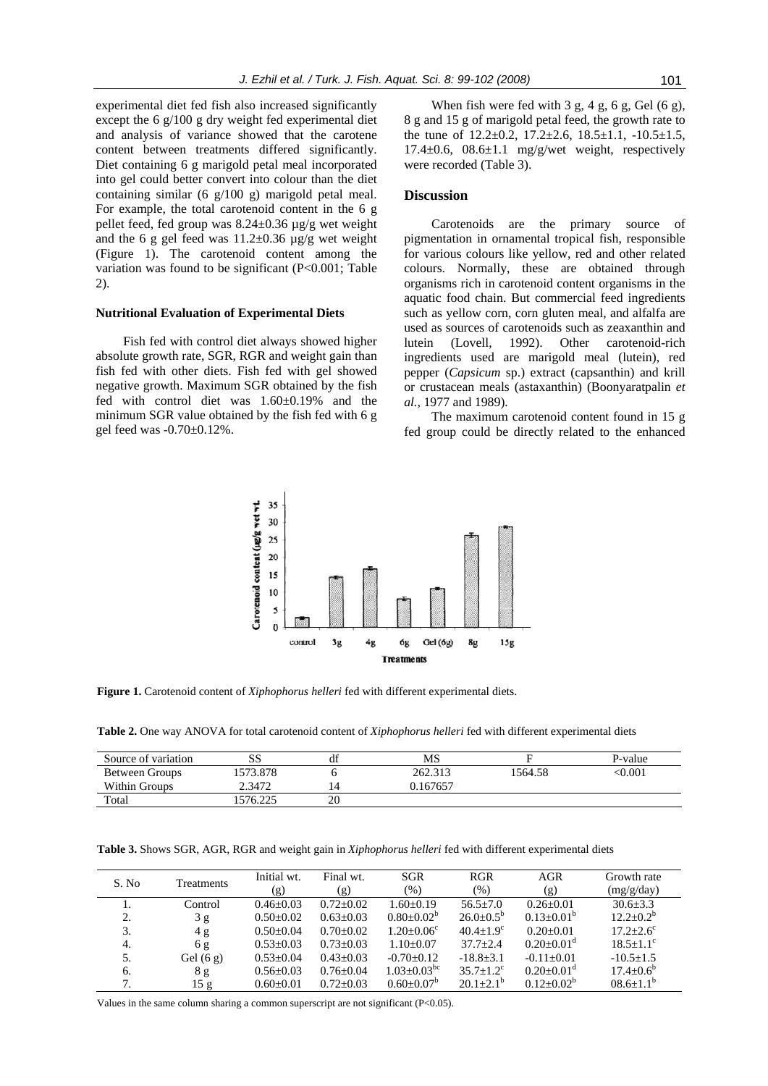experimental diet fed fish also increased significantly except the 6 g/100 g dry weight fed experimental diet and analysis of variance showed that the carotene content between treatments differed significantly. Diet containing 6 g marigold petal meal incorporated into gel could better convert into colour than the diet containing similar (6 g/100 g) marigold petal meal. For example, the total carotenoid content in the 6 g pellet feed, fed group was 8.24±0.36 µg/g wet weight and the 6 g gel feed was  $11.2 \pm 0.36$  µg/g wet weight (Figure 1). The carotenoid content among the variation was found to be significant  $(P<0.001$ ; Table 2).

#### **Nutritional Evaluation of Experimental Diets**

Fish fed with control diet always showed higher absolute growth rate, SGR, RGR and weight gain than fish fed with other diets. Fish fed with gel showed negative growth. Maximum SGR obtained by the fish fed with control diet was 1.60±0.19% and the minimum SGR value obtained by the fish fed with 6 g gel feed was -0.70±0.12%.

When fish were fed with  $3 g, 4 g, 6 g,$  Gel  $(6 g),$ 8 g and 15 g of marigold petal feed, the growth rate to the tune of  $12.2 \pm 0.2$ ,  $17.2 \pm 2.6$ ,  $18.5 \pm 1.1$ ,  $-10.5 \pm 1.5$ ,  $17.4\pm0.6$ ,  $08.6\pm1.1$  mg/g/wet weight, respectively were recorded (Table 3).

### **Discussion**

Carotenoids are the primary source of pigmentation in ornamental tropical fish, responsible for various colours like yellow, red and other related colours. Normally, these are obtained through organisms rich in carotenoid content organisms in the aquatic food chain. But commercial feed ingredients such as yellow corn, corn gluten meal, and alfalfa are used as sources of carotenoids such as zeaxanthin and lutein (Lovell, 1992). Other carotenoid-rich ingredients used are marigold meal (lutein), red pepper (*Capsicum* sp.) extract (capsanthin) and krill or crustacean meals (astaxanthin) (Boonyaratpalin *et al.,* 1977 and 1989).

The maximum carotenoid content found in 15 g fed group could be directly related to the enhanced



**Figure 1.** Carotenoid content of *Xiphophorus helleri* fed with different experimental diets.

**Table 2.** One way ANOVA for total carotenoid content of *Xiphophorus helleri* fed with different experimental diets

| Source of variation | SS       | df | MS       |         | P-value |
|---------------------|----------|----|----------|---------|---------|
| Between Groups      | 1573.878 |    | 262.313  | 1564.58 | < 0.001 |
| Within Groups       | 2.3472   | 14 | 0.167657 |         |         |
| Total               | 1576.225 | 20 |          |         |         |

|  |  |  |  |  |  |  |  | Table 3. Shows SGR, AGR, RGR and weight gain in Xiphophorus helleri fed with different experimental diets |  |
|--|--|--|--|--|--|--|--|-----------------------------------------------------------------------------------------------------------|--|
|--|--|--|--|--|--|--|--|-----------------------------------------------------------------------------------------------------------|--|

| S. No | <b>Treatments</b> | Initial wt.<br>(g) | Final wt.<br>(g) | <b>SGR</b><br>$(\% )$         | <b>RGR</b><br>(% )          | AGR<br>(g)      | Growth rate<br>(mg/g/day)   |
|-------|-------------------|--------------------|------------------|-------------------------------|-----------------------------|-----------------|-----------------------------|
|       | Control           | $0.46 + 0.03$      | $0.72 + 0.02$    | $1.60 \pm 0.19$               | $56.5 + 7.0$                | $0.26 + 0.01$   | $30.6 \pm 3.3$              |
| 2.    | 3g                | $0.50+0.02$        | $0.63 + 0.03$    | $0.80 \pm 0.02^b$             | $26.0+0.5^{b}$              | $0.13+0.01^b$   | $12.2+0.2^b$                |
| 3.    | 4 g               | $0.50+0.04$        | $0.70 + 0.02$    | $1.20 \pm 0.06$ <sup>c</sup>  | $40.4 \pm 1.9$ <sup>c</sup> | $0.20 + 0.01$   | $17.2 \pm 2.6$ <sup>c</sup> |
| 4.    | 6g                | $0.53 + 0.03$      | $0.73 + 0.03$    | $1.10+0.07$                   | $37.7 + 2.4$                | $0.20+0.01^d$   | $18.5 + 1.1$ <sup>c</sup>   |
| 5.    | Gel $(6g)$        | $0.53+0.04$        | $0.43 + 0.03$    | $-0.70 \pm 0.12$              | $-18.8+3.1$                 | $-0.11+0.01$    | $-10.5 \pm 1.5$             |
| 6.    | 8g                | $0.56 \pm 0.03$    | $0.76 + 0.04$    | $1.03 \pm 0.03$ <sup>bc</sup> | $35.7 + 1.2^c$              | $0.20+0.01d$    | $17.4 \pm 0.6^{\circ}$      |
|       | 15g               | $0.60 + 0.01$      | $0.72 + 0.03$    | $0.60 \pm 0.07^{\rm b}$       | $20.1 + 2.1^{b}$            | $0.12 + 0.02^b$ | $08.6 \pm 1.1^b$            |

Values in the same column sharing a common superscript are not significant  $(P< 0.05)$ .